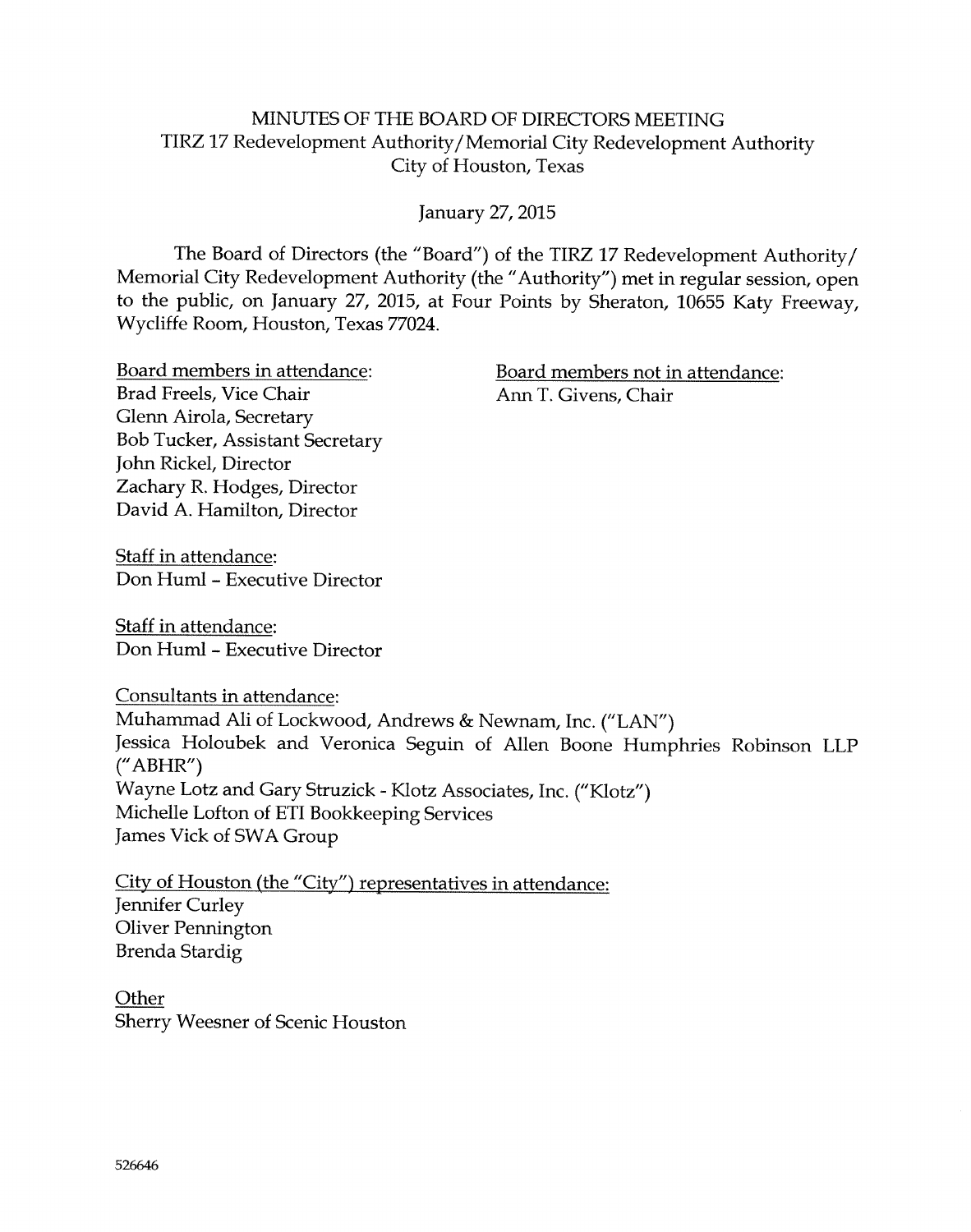#### MINUTES OF THE BOARD OF DIRECTORS MEETING TIRZ 17 Redevelopment Authority/Memorial City Redevelopment Authority City of Houston, Texas

January 27, 2015

The Board o{ Directors (the "Board") o{ the TIRZ L7 Redevelopment Authority/ Memorial City Redevelopment Authority (the "Authority") met in regular session, open to the public, on January 27, 2015, at Four Points by Sheraton, 10655 Katy Freeway, Wycliffe Room, Houston, Texas 77024.

Brad Freels, Vice Chair Clenn Airola, Secretary Bob Tucker, Assistant Secretary ]ohn Rickel, Director Zachary R. Hodges, Director David A. Hamilton, Director

Board members in attendance: Board members not in attendance: Ann T. Givens, Chair

Staff in attendance: Don Huml - Executive Director

Staff in attendance: Don Huml - Executive Director

Consultants in attendance: Muhamrnad A1i of Lockwood, Andrews & Newnam, Inc. ("LAN") Jessica Holoubek and Veronica Seguin of Allen Boone Humphries Robinson LLP ("ABHR") Wayne Lotz and Gary Struzick - Klotz Associates, Inc. ("Klotz") Michelle Lofton of ETI Bookkeeping Services James Yick of SWA Group

City of Houston (the "City") representatives in attendance: Jennifer Curley Oliver Pennington Brenda Stardig

**Other** Sherry Weesner of Scenic Houston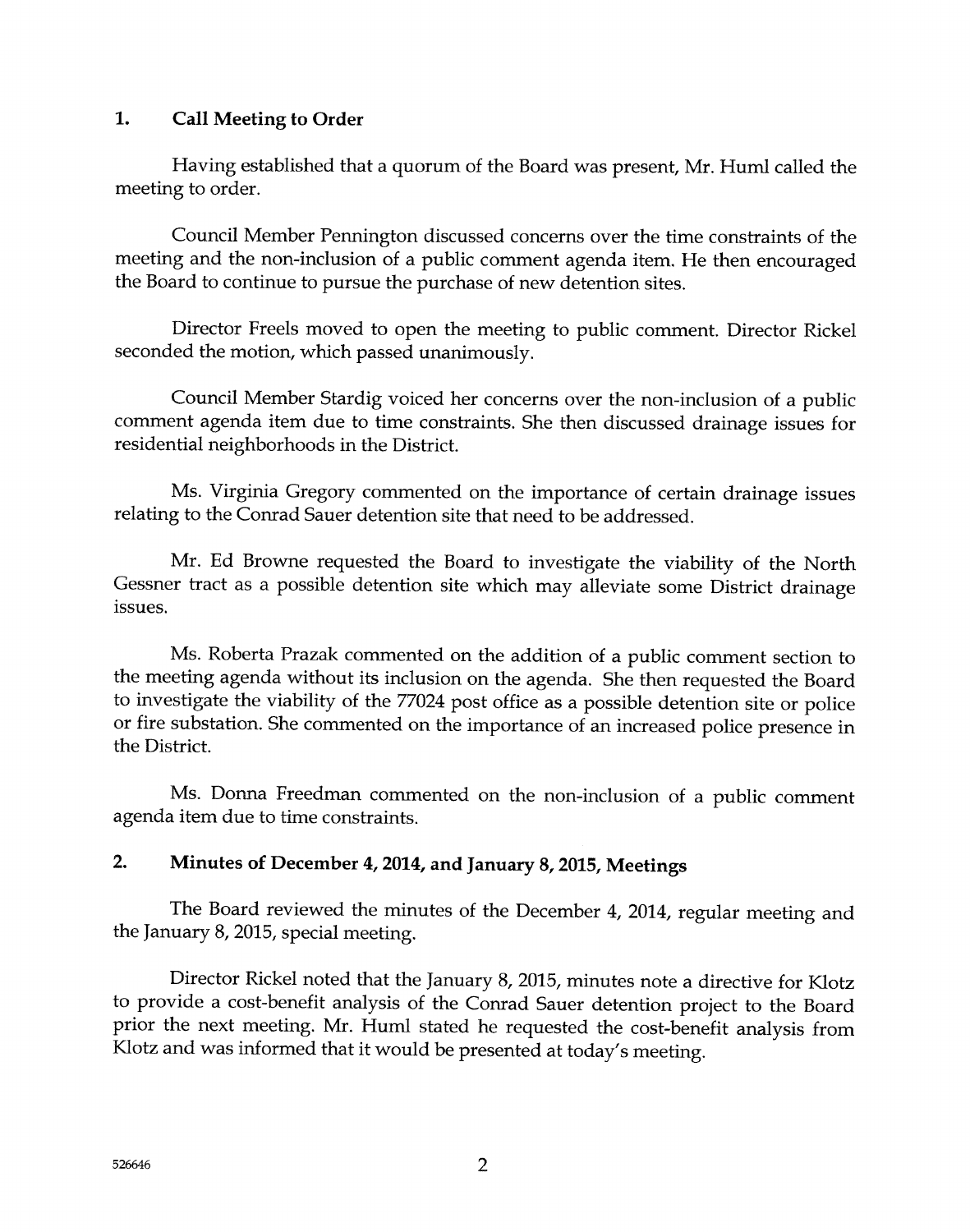#### 1. Call Meeting to Order

Having established that a quorum of the Board was present, Mr. Huml called the meeting to order.

Council Member Pennington discussed concerns over the time constraints of the meeting and the non-inclusion of a public comment agenda item. He then encouraged the Board to continue to pursue the purchase of new detention sites.

Director Freels moved to open the meeting to public comment. Director Rickel seconded the motion, which passed unanimously.

Council Member Stardig voiced her concerns over the non-inclusion of a public comment agenda item due to time constraints. She then discussed drainage issues for residential neighborhaods in the District.

Ms. Virginia Gregory commented on the importance of certain drainage issues relating to the Conrad Sauer detention site that need to be addressed.

Mr. Ed Browne requested the Board to investigate the viability of the North Gessner tract as a possible detention site which may alleviate some District drainage issues.

Ms. Roberta Prazak commented on the addition of a public comment section to the meeting agenda without its inclusion on the agenda. She then requested the Board to investigate the viability of the 77024 post office as a possible detention site or police or fire substation. She commented on the importance cf an increased police presence in the District.

Ms. Donna Freedman commented on the non-inclusion of a public comment agenda item due to time constraints.

# 2. Minutes of December 4, 2014, and January 8, 2015, Meetings

The Board reviewed the minutes of the December 4, 2014, regular meeting and the January 8, 2015, special meeting.

Director Rickel noted that the January 8, 2015, minutes note a directive for Klotz to provide a cost-benefit analysis o{ the Conrad Sauer detention project to the Soard prior the next meeting. Mr. Huml stated he requested the cost-benefit analysis from Klotz and was informed that it would be presented at today's meeting.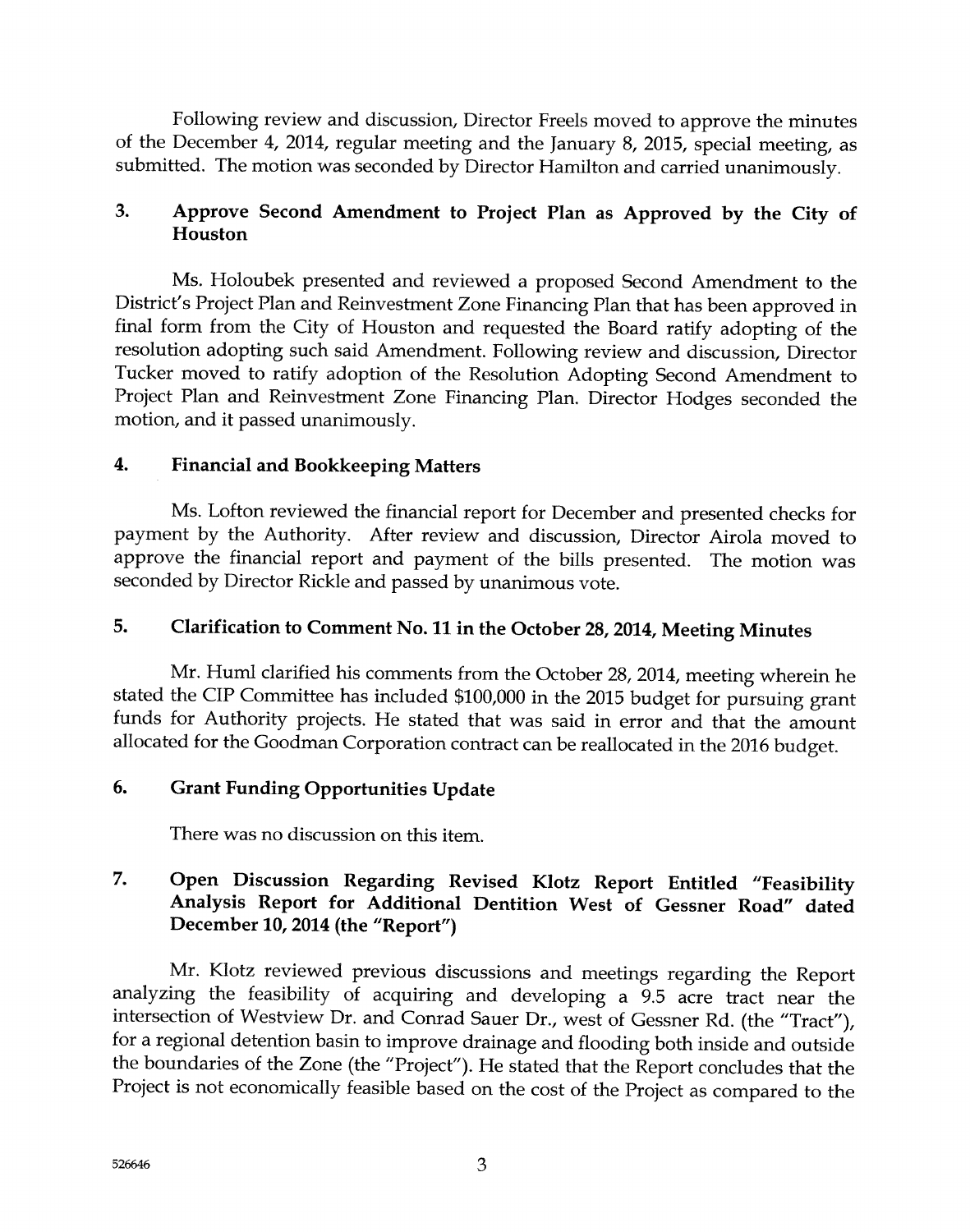Following review and discussion, Director Freels moved to approve the minutes of the December 4, 2014, regular meeting and the January 8, 2015, special meeting, as submitted. The motion was seconded by Director Hamilton and carried unanimously.

# 3. Approve Second Amendment to Project Plan as Approved by the City of Houston

Ms. Holoubek presented and reviewed a proposed Second Amendment to the District's Project Plan and Reinvesfment Zone Financing Plan that has been approved in final form from the City of Houston and requested the Board ratify adopting of the resolution adopting such said Amendment. Following review and discussion, Director Tucker moved to ratify adoption of the Resolution Adopting Second Amendment to Project Plan and Reinvestment Zone Financing Plan. Director Hodges seconded the motion, and it passed unanimously.

# 4. Financial and Bookkeeping Matters

Ms. Lofton reviewed the financial report for December and presented checks for payment by the Authority. After review and discussion, Director Airola moved to approve the financial report and payment of the bills presented. The motion was seconded by Director Rickle and passed by unanimous vote.

# 5. Clarification to Comment No. 11 in the October 28, 2014, Meeting Minutes

Mr. Huml clarified his comments from the October 28, 2014, meeting wherein he stated the CIP Committee has included \$100,000 in the 2015 budget for pursuing grant funds for Authority projects. He stated that was said in error and that the amount allocated for the Goodman Corporation contract can be reallocated in the 2016 budget.

# 6. Grant Funding Opportunities Update

There was no discussion on this item.

# 7. Open Discussion Regarding Revised Klotz Report Entitled "Feasibility Analysis Keport for Additional Dentition West of Gessner Road" dated December 10, 2014 (the "Report")

Mr. Klotz reviewed previous discussions and meetings regarding the Report analyzing the feasibility of acquiring and developing a 9.5 acre tract near the intersection of Westview Dr. and Conrad Sauer Dr., west of Gessner Rd. (the "Tract"), for a regional detention basin to improve drainage and flooding both inside and outside the boundaries of the Zone (the "Project"). He stated that the Report concludes that the Project is not economically feasible based on the cost of the Project as compared to the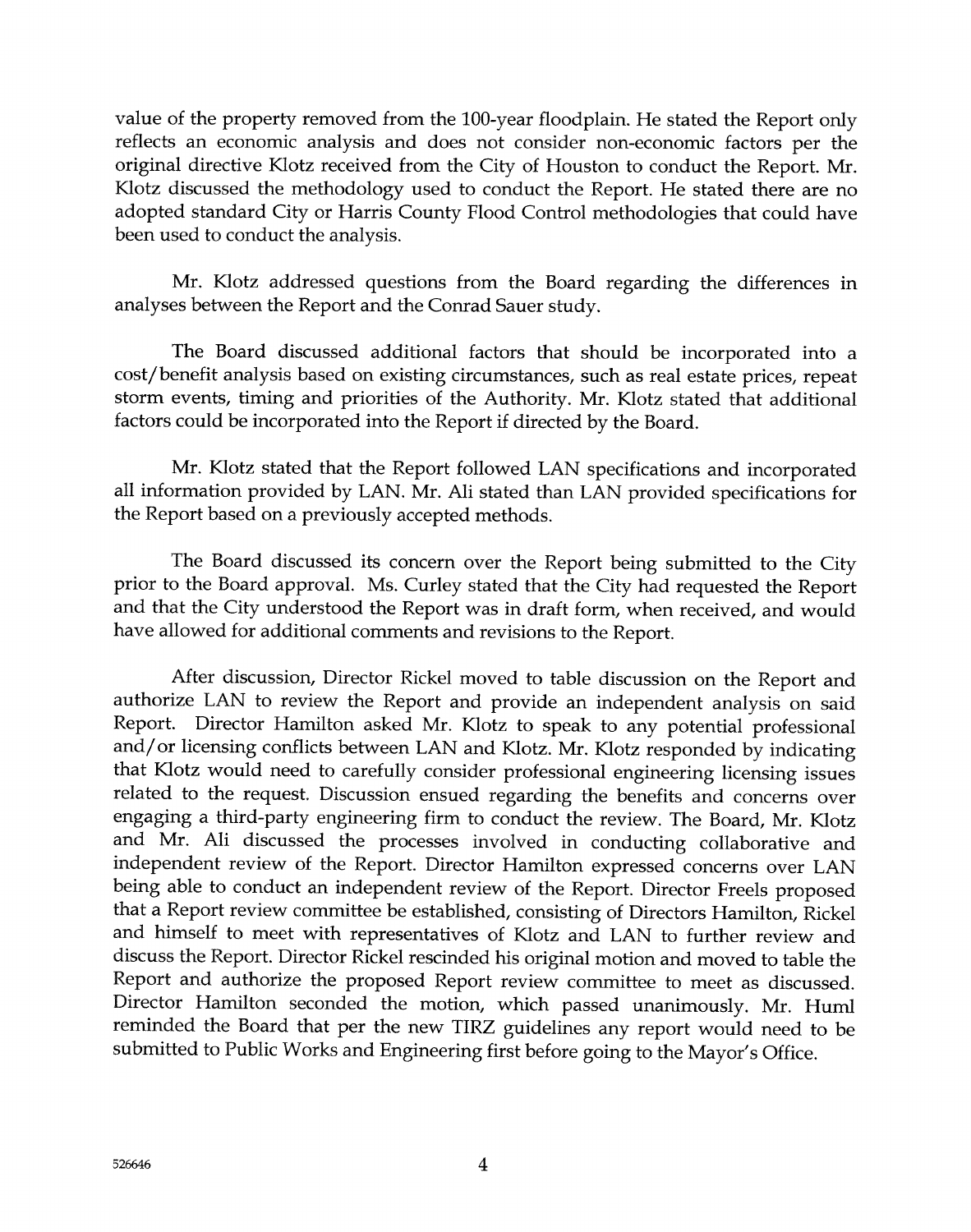value of the property removed from the 100-year floodplain. He stated the Report only reflects an economic analysis and does not consider non-economic factors per the original directive Klotz received from the City of Houston to conduct the Report. Mr. Klotz discussed the methodology used to conduct the Report. He stated there are no adopted standard City or Harris County Flood Control methodologies that could have been used to conduct the analysis.

Mr. Klotz addressed questions from the Board regarding the differences in analyses between the Report and the Conrad Sauer study.

The Board discussed additional factors that should be incorporated into <sup>a</sup> cost/benefit analysis based on existing circumstances, such as real estate prices, repeat storm events, timing and priorities of the Authority. Mr. Klotz stated that additional factors could be incorporated into the Report if directed by the Board.

Mr. Klotz stated that the Report followed LAN specifications and incorporated all information provided by LAN. Mr. Ali stated than LAN provided specifications for the Report based on a previously accepted methods.

The Baard discussed its concern over the Report being submitted to the City prior to the Board approval. Ms. Curley stated that the City had requested the Report and that the City understood the Report was in draft form, when received, and would have allowed for additional comments and revisions to the Report.

After discussion, Director Rickel moved to table discussion on the Report and authorize LAN to review the Report and provide an independent analysis on said Report. Director Hamilton asked Mr. Klotz to speak to any potential professional and/or licensing conflicts between LAN and Klotz. Mr. Klotz responded by indicating that Klotz would need to carefully consider professional engineering licensing issues related to the request. Discussion ensued regarding the benefits and concerns over engaging a third-party engineering firm to conduct the review. The Board, Mr. Klotz and Mr. Ali discussed the processes involved in conducting collaborative and independent review of the Report. Director Hamilton expressed concerns over LAN being able to conduct an independent review of the Report. Director Freels proposed that a Report review committee be established, consisting of Directors Hamilton, Rickel and himself to meet with representatives of Klotz and LAN to further review and discuss the Report. Director Rickel rescinded his original motion and moved to table the Report and authorize the proposed Report review committee to meet as discussed. Director Hamilton seconded the motion, which passed unanimously. Mr. Huml reminded the Board that per the new TIRZ guidelines any report would need to be submitted to Public Works and Engineering first before going to the Mayor's Office.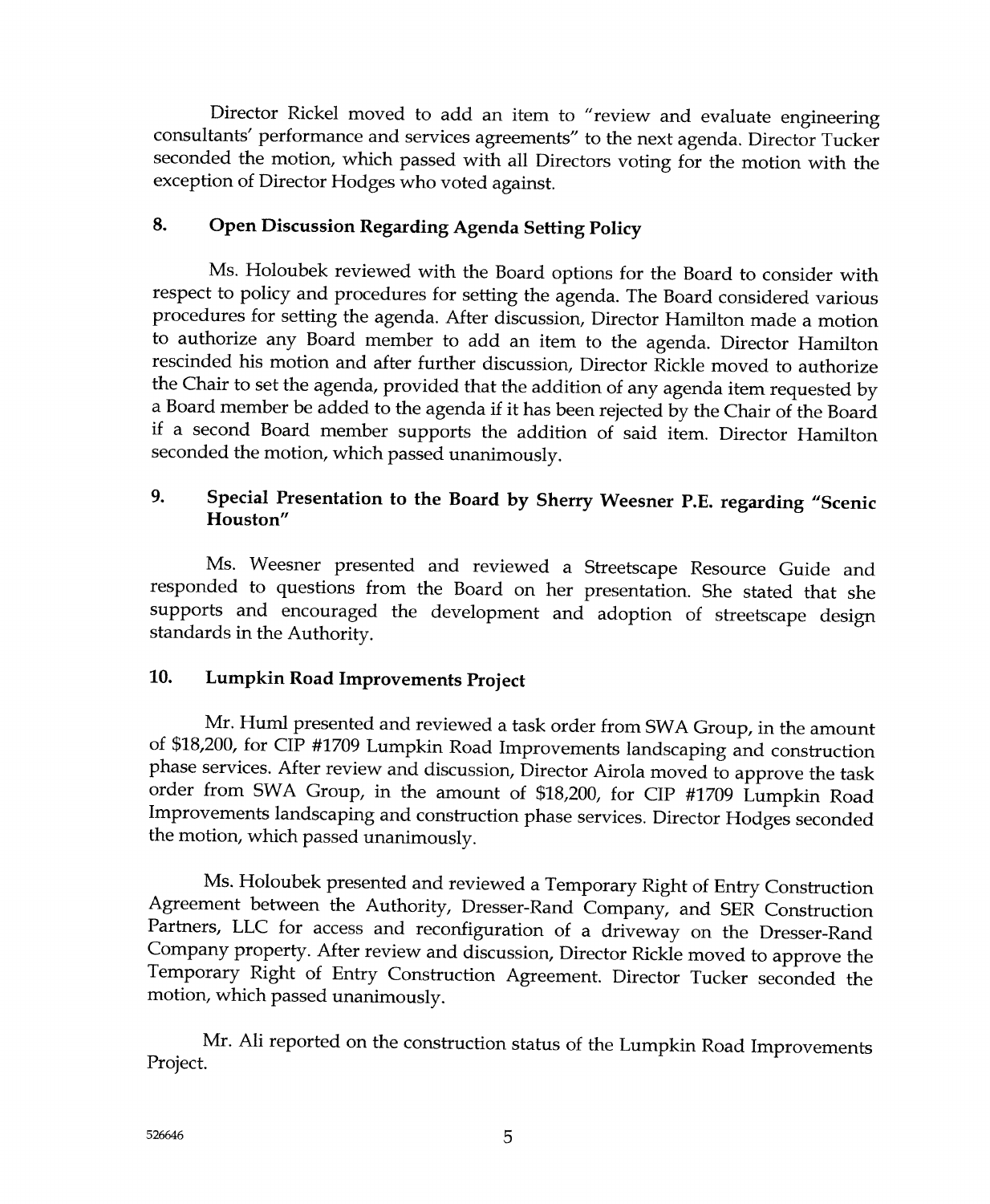Director Rickel moved to add an item to "review and evaluate engineering consultants' performance and services agreements" to the next agenda. Director Tucker seconded the motion, which passed with all Directors voting for the motion with the exception of Director Hodges who voted against.

#### 8. Open Discussion Regarding Agenda Setting Policy

Ms. Holoubek reviewed with the Board options for the Board to consider with respect to policy and procedures for setting the agenda. The Board considered various procedures for setting the agenda. After discussion, Director Hamilton made a motion to authorize any Soard member to add an item to the agenda. Director Hamilton rescinded his motion and after further discussion, Director Rickle moved to authorize the Chair to set the agenda, provided that the addition of any agenda item requested by<br>a Board member be added to the agenda if it has been rejected by the Chair of the Board if a second Board member supports the addition of said item. Director Hamilton seconded the motion, which passed unanimously.

# 9. Special Presentation to the Board by Sherry Weesner P.E. regarding "Scenic Houston"

Ms. Weesner presented and reviewed a Sfreetscape Resource Cuide and responded to questions from the Board on her presentation. She stated that she supports and encouraged the development and adoption of streetscape design standards in the Authority.

# 10. Lumpkin Road Improvements Project

Mr. Huml presented and reviewed a task order from SWA Group, in the amount of \$18,200, for CIP #1709 Lumpkin Road Improvements landscaping and construction phase services. After review and discussion, Director Airola moved to approve the task<br>order from SWA Group, in the amount of \$18,200, for CIP #1709 Lumpkin Boad order from SWA Group, in the amount of \$18,200, for CIP #1709 Lumpkin Road Improvements landscaping and construction phase services. Director Hodges seconded the motion, which passed unanimously.

Ms. Holoubek presented and reviewed a Temporary Right of Entry Construction Agreement between the Authority, Dresser-Rand Company, and SER Construction Partners, LLC for access and reconfiguration of a driveway on the Dresser-Rand Company property. After review and discussion, Director Rickie moved to approve the Temporary Right of Entry Construction Agreement. Director Tucker seconded the motion, which passed unanimously.

Mr. A1i reported on the construction status of the Lumpkin Road Improvements Project.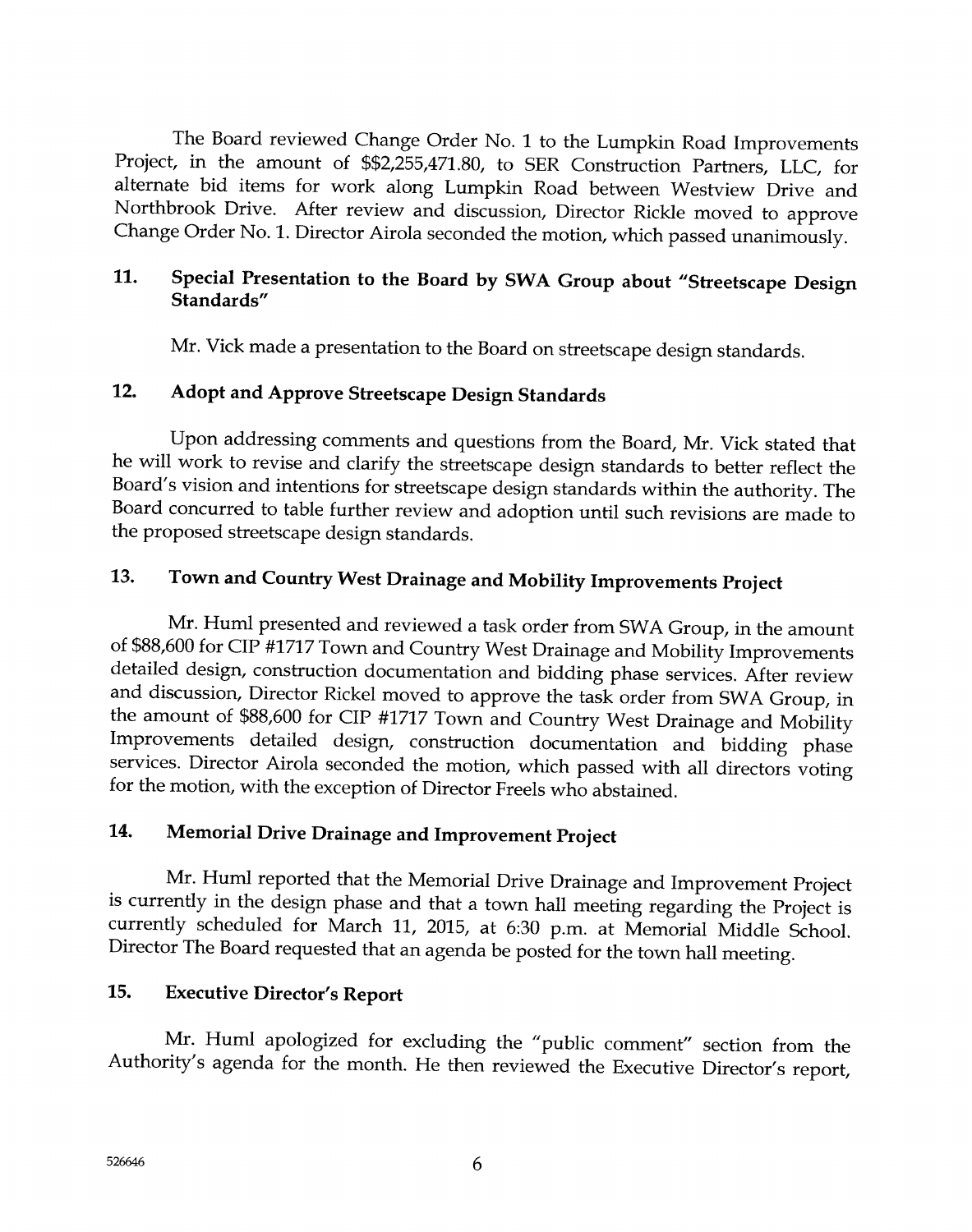The Board reviewed Change Order No. 1 to the Lumpkin Road Improvements Project, in the amount of \$\$2,255,471.80, to SER Construction Partners, LLC, for alternate bid items for work along Lumpkin Road between Westview Drive and Northbrook Drive. After review and discussion, Director Rickle moved to approve Change Order No. 1. Director Airola seconded the motion, which passed unanimously.

# 11. Special Presentation to the Board by SWA Group about "Streetscape Design Standards"

Mr. Vick made a presentation to the Board on streetscape design standards.

# 12. Adopt and Approve Streetscape Design Standards

Upon addressing comments and questions frorn the Board, Mr. Yick stated that he will work to revise and clarify the streetscape design standards to better reflect the Board's vision and intentions for streetscape design standards within the authority. The Soard concurred to table further review and adoption until such revisions are made to the proposed streetscape design standards.

# 13. Town and Country West Drainage and Mobility Improvements Project

Mr. Huml presented and reviewed a task order from SWA Croup, in the amount of \$88,600 for CIP #1717 Town and Country West Drainage and Mobility Improvements detailed design, construction documentation and bidding phase services. After review and discussion, Director Rickel moved to approve the task order from SWA Group, in the amount of \$88,600 for CIP #1717 Town and Country West Drainage and Mobility Improvements detailed design, construction documentation and bidding phase services. Director Airola seconded the motion, which passed with all directors voting for the motion, with the exception of Director Freels who abstained.

# 14. Memorial Drive Drainage and Improvement Project

Mr. Huml reported that the Memorial Drive Drainage and Improvement Project is currently in the design phase and that a town hall meeting regarding the Project is currently scheduled for March 11, 2015, at 6:30 p.m. at Memorial Middle School. Director The Board requested that an agenda be posted for the town hall meeting.

# 15. Executive Director's Report

Mr. Huml apologized for excluding the "public comment" section from the Authority's agenda for the month. He then reviewed the Executive Director's report,